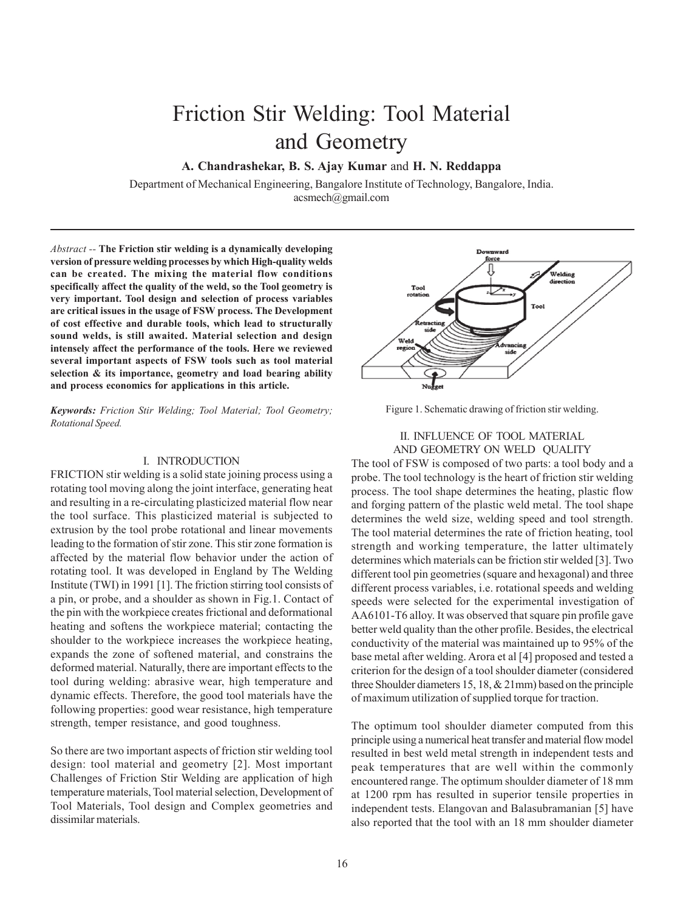# Friction Stir Welding: Tool Material and Geometry

**A. Chandrashekar, B. S. Ajay Kumar** and **H. N. Reddappa**

Department of Mechanical Engineering, Bangalore Institute of Technology, Bangalore, India. acsmech@gmail.com

*Abstract --* **The Friction stir welding is a dynamically developing version of pressure welding processes by which High-quality welds can be created. The mixing the material flow conditions specifically affect the quality of the weld, so the Tool geometry is very important. Tool design and selection of process variables are critical issues in the usage of FSW process. The Development of cost effective and durable tools, which lead to structurally sound welds, is still awaited. Material selection and design intensely affect the performance of the tools. Here we reviewed several important aspects of FSW tools such as tool material selection & its importance, geometry and load bearing ability and process economics for applications in this article.**

*Keywords: Friction Stir Welding; Tool Material; Tool Geometry; Rotational Speed.*

### I. INTRODUCTION

FRICTION stir welding is a solid state joining process using a rotating tool moving along the joint interface, generating heat and resulting in a re-circulating plasticized material flow near the tool surface. This plasticized material is subjected to extrusion by the tool probe rotational and linear movements leading to the formation of stir zone. This stir zone formation is affected by the material flow behavior under the action of rotating tool. It was developed in England by The Welding Institute (TWI) in 1991 [1]. The friction stirring tool consists of a pin, or probe, and a shoulder as shown in Fig.1. Contact of the pin with the workpiece creates frictional and deformational heating and softens the workpiece material; contacting the shoulder to the workpiece increases the workpiece heating, expands the zone of softened material, and constrains the deformed material. Naturally, there are important effects to the tool during welding: abrasive wear, high temperature and dynamic effects. Therefore, the good tool materials have the following properties: good wear resistance, high temperature strength, temper resistance, and good toughness.

So there are two important aspects of friction stir welding tool design: tool material and geometry [2]. Most important Challenges of Friction Stir Welding are application of high temperature materials, Tool material selection, Development of Tool Materials, Tool design and Complex geometries and dissimilar materials.



Figure 1. Schematic drawing of friction stir welding.

## II. INFLUENCE OF TOOL MATERIAL AND GEOMETRY ON WELD QUALITY

The tool of FSW is composed of two parts: a tool body and a probe. The tool technology is the heart of friction stir welding process. The tool shape determines the heating, plastic flow and forging pattern of the plastic weld metal. The tool shape determines the weld size, welding speed and tool strength. The tool material determines the rate of friction heating, tool strength and working temperature, the latter ultimately determines which materials can be friction stir welded [3]. Two different tool pin geometries (square and hexagonal) and three different process variables, i.e. rotational speeds and welding speeds were selected for the experimental investigation of AA6101-T6 alloy. It was observed that square pin profile gave better weld quality than the other profile. Besides, the electrical conductivity of the material was maintained up to 95% of the base metal after welding. Arora et al [4] proposed and tested a criterion for the design of a tool shoulder diameter (considered three Shoulder diameters 15, 18, & 21mm) based on the principle of maximum utilization of supplied torque for traction.

The optimum tool shoulder diameter computed from this principle using a numerical heat transfer and material flow model resulted in best weld metal strength in independent tests and peak temperatures that are well within the commonly encountered range. The optimum shoulder diameter of 18 mm at 1200 rpm has resulted in superior tensile properties in independent tests. Elangovan and Balasubramanian [5] have also reported that the tool with an 18 mm shoulder diameter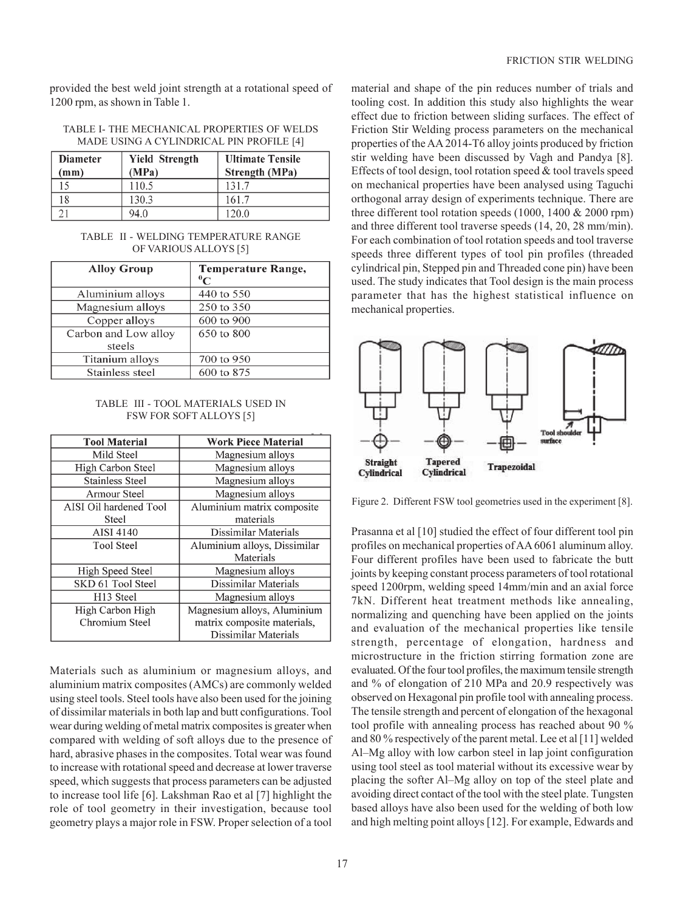provided the best weld joint strength at a rotational speed of 1200 rpm, as shown in Table 1.

| <b>Diameter</b><br>(mm) | <b>Yield Strength</b><br>(MPa) | <b>Ultimate Tensile</b><br><b>Strength (MPa)</b> |
|-------------------------|--------------------------------|--------------------------------------------------|
| 15                      | 110.5                          | 131.7                                            |
| 18                      | 130.3                          | 161.7                                            |
|                         | 94.0                           | 120.0                                            |

#### TABLE I- THE MECHANICAL PROPERTIES OF WELDS MADE USING A CYLINDRICAL PIN PROFILE [4]

## TABLE II - WELDING TEMPERATURE RANGE OF VARIOUS ALLOYS [5]

| <b>Alloy Group</b>   | Temperature Range,<br>$^{0}C$ |
|----------------------|-------------------------------|
| Aluminium alloys     | 440 to 550                    |
| Magnesium alloys     | 250 to 350                    |
| Copper alloys        | 600 to 900                    |
| Carbon and Low alloy | 650 to 800                    |
| steels               |                               |
| Titanium alloys      | 700 to 950                    |
| Stainless steel      | 600 to 875                    |

#### TABLE III - TOOL MATERIALS USED IN FSW FOR SOFT ALLOYS [5]

| <b>Tool Material</b>   | <b>Work Piece Material</b>   |
|------------------------|------------------------------|
| Mild Steel             | Magnesium alloys             |
| High Carbon Steel      | Magnesium alloys             |
| <b>Stainless Steel</b> | Magnesium alloys             |
| Armour Steel           | Magnesium alloys             |
| AISI Oil hardened Tool | Aluminium matrix composite   |
| Steel                  | materials                    |
| <b>AISI 4140</b>       | Dissimilar Materials         |
| <b>Tool Steel</b>      | Aluminium alloys, Dissimilar |
|                        | Materials                    |
| High Speed Steel       | Magnesium alloys             |
| SKD 61 Tool Steel      | Dissimilar Materials         |
| H <sub>13</sub> Steel  | Magnesium alloys             |
| High Carbon High       | Magnesium alloys, Aluminium  |
| Chromium Steel         | matrix composite materials,  |
|                        | Dissimilar Materials         |

Materials such as aluminium or magnesium alloys, and aluminium matrix composites (AMCs) are commonly welded using steel tools. Steel tools have also been used for the joining of dissimilar materials in both lap and butt configurations. Tool wear during welding of metal matrix composites is greater when compared with welding of soft alloys due to the presence of hard, abrasive phases in the composites. Total wear was found to increase with rotational speed and decrease at lower traverse speed, which suggests that process parameters can be adjusted to increase tool life [6]. Lakshman Rao et al [7] highlight the role of tool geometry in their investigation, because tool geometry plays a major role in FSW. Proper selection of a tool

material and shape of the pin reduces number of trials and tooling cost. In addition this study also highlights the wear effect due to friction between sliding surfaces. The effect of Friction Stir Welding process parameters on the mechanical properties of the AA 2014-T6 alloy joints produced by friction stir welding have been discussed by Vagh and Pandya [8]. Effects of tool design, tool rotation speed & tool travels speed on mechanical properties have been analysed using Taguchi orthogonal array design of experiments technique. There are three different tool rotation speeds (1000, 1400 & 2000 rpm) and three different tool traverse speeds (14, 20, 28 mm/min). For each combination of tool rotation speeds and tool traverse speeds three different types of tool pin profiles (threaded cylindrical pin, Stepped pin and Threaded cone pin) have been used. The study indicates that Tool design is the main process parameter that has the highest statistical influence on mechanical properties.



Figure 2. Different FSW tool geometries used in the experiment [8].

Prasanna et al [10] studied the effect of four different tool pin profiles on mechanical properties of AA 6061 aluminum alloy. Four different profiles have been used to fabricate the butt joints by keeping constant process parameters of tool rotational speed 1200rpm, welding speed 14mm/min and an axial force 7kN. Different heat treatment methods like annealing, normalizing and quenching have been applied on the joints and evaluation of the mechanical properties like tensile strength, percentage of elongation, hardness and microstructure in the friction stirring formation zone are evaluated. Of the four tool profiles, the maximum tensile strength and % of elongation of 210 MPa and 20.9 respectively was observed on Hexagonal pin profile tool with annealing process. The tensile strength and percent of elongation of the hexagonal tool profile with annealing process has reached about 90 % and 80 % respectively of the parent metal. Lee et al [11] welded Al–Mg alloy with low carbon steel in lap joint configuration using tool steel as tool material without its excessive wear by placing the softer Al–Mg alloy on top of the steel plate and avoiding direct contact of the tool with the steel plate. Tungsten based alloys have also been used for the welding of both low and high melting point alloys [12]. For example, Edwards and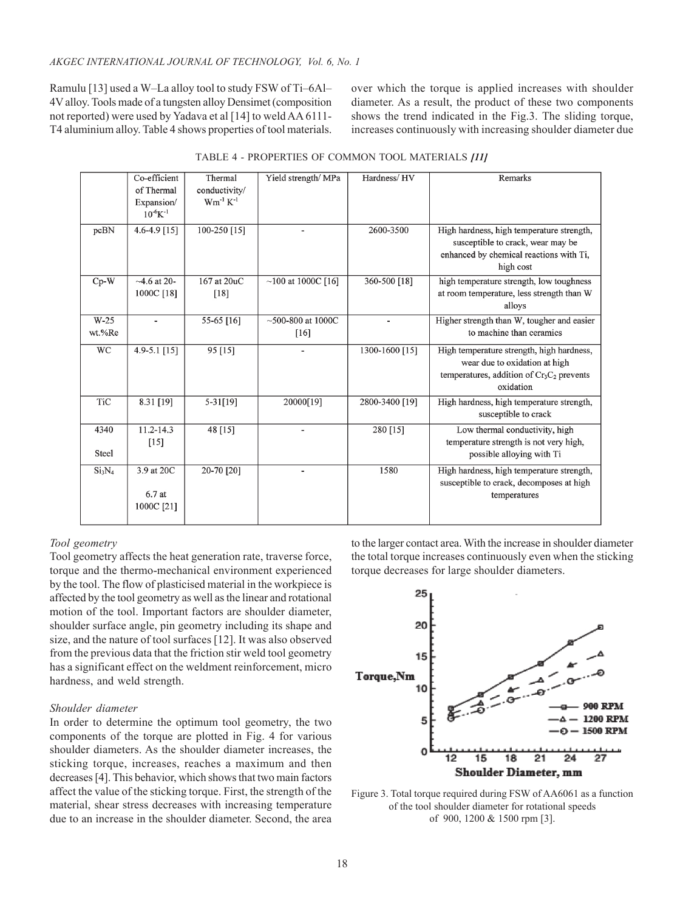Ramulu [13] used a W–La alloy tool to study FSW of Ti–6Al– 4V alloy. Tools made of a tungsten alloy Densimet (composition not reported) were used by Yadava et al [14] to weld AA 6111- T4 aluminium alloy. Table 4 shows properties of tool materials. over which the torque is applied increases with shoulder diameter. As a result, the product of these two components shows the trend indicated in the Fig.3. The sliding torque, increases continuously with increasing shoulder diameter due

|                                | Co-efficient<br>of Thermal<br>Expansion/<br>$10^{-6}K^{-1}$ | Thermal<br>conductivity/<br>$Wm^{-1} K^{-1}$ | Yield strength/ MPa  | Hardness/HV    | Remarks                                                                                                                                |
|--------------------------------|-------------------------------------------------------------|----------------------------------------------|----------------------|----------------|----------------------------------------------------------------------------------------------------------------------------------------|
| pcBN                           | 4.6-4.9 $[15]$                                              | 100-250 [15]                                 |                      | 2600-3500      | High hardness, high temperature strength,<br>susceptible to crack, wear may be<br>enhanced by chemical reactions with Ti,<br>high cost |
| $Cp-W$                         | $-4.6$ at 20-<br>1000C [18]                                 | 167 at 20uC<br>[18]                          | $~100$ at 1000C [16] | 360-500 [18]   | high temperature strength, low toughness<br>at room temperature, less strength than W<br>alloys                                        |
| $W-25$<br>wt.%Re               |                                                             | 55-65 [16]                                   | ~1000C<br>[16]       |                | Higher strength than W, tougher and easier<br>to machine than ceramics                                                                 |
| <b>WC</b>                      | 4.9-5.1 $[15]$                                              | 95 [15]                                      |                      | 1300-1600 [15] | High temperature strength, high hardness,<br>wear due to oxidation at high<br>temperatures, addition of $Cr3C2$ prevents<br>oxidation  |
| <b>TiC</b>                     | 8.31 [19]                                                   | $5 - 31[19]$                                 | 20000[19]            | 2800-3400 [19] | High hardness, high temperature strength,<br>susceptible to crack                                                                      |
| 4340<br>Steel                  | $11.2 - 14.3$<br>$[15]$                                     | 48 [15]                                      |                      | 280 [15]       | Low thermal conductivity, high<br>temperature strength is not very high,<br>possible alloying with Ti                                  |
| Si <sub>3</sub> N <sub>4</sub> | 3.9 at 20C<br>6.7 at<br>1000C [21]                          | 20-70 [20]                                   |                      | 1580           | High hardness, high temperature strength,<br>susceptible to crack, decomposes at high<br>temperatures                                  |

| TABLE 4 - PROPERTIES OF COMMON TOOL MATERIALS [11] |  |  |  |  |  |
|----------------------------------------------------|--|--|--|--|--|
|----------------------------------------------------|--|--|--|--|--|

## *Tool geometry*

Tool geometry affects the heat generation rate, traverse force, torque and the thermo-mechanical environment experienced by the tool. The flow of plasticised material in the workpiece is affected by the tool geometry as well as the linear and rotational motion of the tool. Important factors are shoulder diameter, shoulder surface angle, pin geometry including its shape and size, and the nature of tool surfaces [12]. It was also observed from the previous data that the friction stir weld tool geometry has a significant effect on the weldment reinforcement, micro hardness, and weld strength.

## *Shoulder diameter*

In order to determine the optimum tool geometry, the two components of the torque are plotted in Fig. 4 for various shoulder diameters. As the shoulder diameter increases, the sticking torque, increases, reaches a maximum and then decreases [4]. This behavior, which shows that two main factors affect the value of the sticking torque. First, the strength of the material, shear stress decreases with increasing temperature due to an increase in the shoulder diameter. Second, the area

to the larger contact area. With the increase in shoulder diameter the total torque increases continuously even when the sticking torque decreases for large shoulder diameters.



Figure 3. Total torque required during FSW of AA6061 as a function of the tool shoulder diameter for rotational speeds of 900, 1200 & 1500 rpm [3].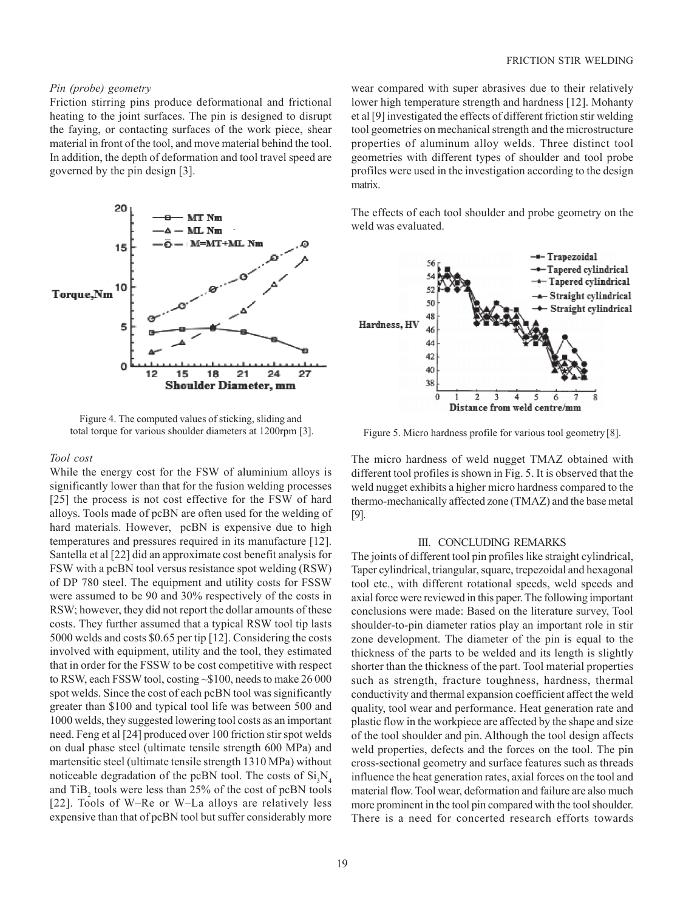## *Pin (probe) geometry*

Friction stirring pins produce deformational and frictional heating to the joint surfaces. The pin is designed to disrupt the faying, or contacting surfaces of the work piece, shear material in front of the tool, and move material behind the tool. In addition, the depth of deformation and tool travel speed are governed by the pin design [3].



Figure 4. The computed values of sticking, sliding and total torque for various shoulder diameters at 1200rpm [3].

#### *Tool cost*

While the energy cost for the FSW of aluminium alloys is significantly lower than that for the fusion welding processes [25] the process is not cost effective for the FSW of hard alloys. Tools made of pcBN are often used for the welding of hard materials. However, pcBN is expensive due to high temperatures and pressures required in its manufacture [12]. Santella et al [22] did an approximate cost benefit analysis for FSW with a pcBN tool versus resistance spot welding (RSW) of DP 780 steel. The equipment and utility costs for FSSW were assumed to be 90 and 30% respectively of the costs in RSW; however, they did not report the dollar amounts of these costs. They further assumed that a typical RSW tool tip lasts 5000 welds and costs \$0.65 per tip [12]. Considering the costs involved with equipment, utility and the tool, they estimated that in order for the FSSW to be cost competitive with respect to RSW, each FSSW tool, costing ~\$100, needs to make 26 000 spot welds. Since the cost of each pcBN tool was significantly greater than \$100 and typical tool life was between 500 and 1000 welds, they suggested lowering tool costs as an important need. Feng et al [24] produced over 100 friction stir spot welds on dual phase steel (ultimate tensile strength 600 MPa) and martensitic steel (ultimate tensile strength 1310 MPa) without noticeable degradation of the pcBN tool. The costs of  $Si<sub>3</sub>N<sub>4</sub>$ and  $TiB_2$  tools were less than 25% of the cost of pcBN tools [22]. Tools of W–Re or W–La alloys are relatively less expensive than that of pcBN tool but suffer considerably more wear compared with super abrasives due to their relatively lower high temperature strength and hardness [12]. Mohanty et al [9] investigated the effects of different friction stir welding tool geometries on mechanical strength and the microstructure properties of aluminum alloy welds. Three distinct tool geometries with different types of shoulder and tool probe profiles were used in the investigation according to the design matrix.

The effects of each tool shoulder and probe geometry on the weld was evaluated.



Figure 5. Micro hardness profile for various tool geometry [8].

The micro hardness of weld nugget TMAZ obtained with different tool profiles is shown in Fig. 5. It is observed that the weld nugget exhibits a higher micro hardness compared to the thermo-mechanically affected zone (TMAZ) and the base metal [9].

#### III. CONCLUDING REMARKS

The joints of different tool pin profiles like straight cylindrical, Taper cylindrical, triangular, square, trepezoidal and hexagonal tool etc., with different rotational speeds, weld speeds and axial force were reviewed in this paper. The following important conclusions were made: Based on the literature survey, Tool shoulder-to-pin diameter ratios play an important role in stir zone development. The diameter of the pin is equal to the thickness of the parts to be welded and its length is slightly shorter than the thickness of the part. Tool material properties such as strength, fracture toughness, hardness, thermal conductivity and thermal expansion coefficient affect the weld quality, tool wear and performance. Heat generation rate and plastic flow in the workpiece are affected by the shape and size of the tool shoulder and pin. Although the tool design affects weld properties, defects and the forces on the tool. The pin cross-sectional geometry and surface features such as threads influence the heat generation rates, axial forces on the tool and material flow. Tool wear, deformation and failure are also much more prominent in the tool pin compared with the tool shoulder. There is a need for concerted research efforts towards